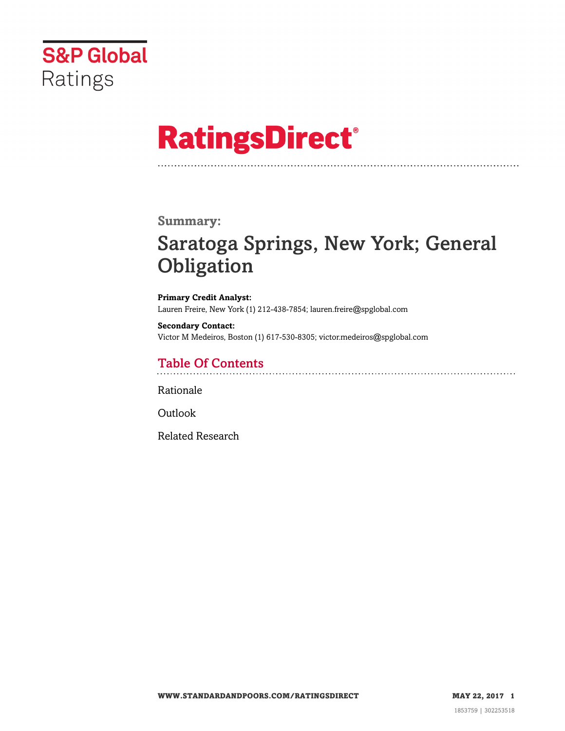

# **RatingsDirect®**

#### **Summary:**

# Saratoga Springs, New York; General **Obligation**

**Primary Credit Analyst:** Lauren Freire, New York (1) 212-438-7854; lauren.freire@spglobal.com

**Secondary Contact:** Victor M Medeiros, Boston (1) 617-530-8305; victor.medeiros@spglobal.com

## Table Of Contents

[Rationale](#page-1-0)

[Outlook](#page-4-0)

[Related Research](#page-4-1)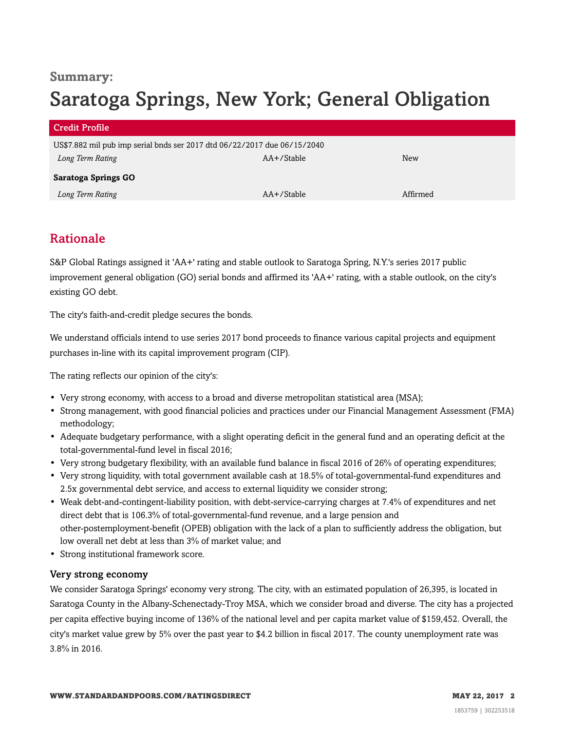# **Summary:** Saratoga Springs, New York; General Obligation

| <b>Credit Profile</b>                                                    |            |          |
|--------------------------------------------------------------------------|------------|----------|
| US\$7.882 mil pub imp serial bnds ser 2017 dtd 06/22/2017 due 06/15/2040 |            |          |
| Long Term Rating                                                         | AA+/Stable | New      |
| Saratoga Springs GO                                                      |            |          |
| Long Term Rating                                                         | AA+/Stable | Affirmed |

### <span id="page-1-0"></span>Rationale

S&P Global Ratings assigned it 'AA+' rating and stable outlook to Saratoga Spring, N.Y.'s series 2017 public improvement general obligation (GO) serial bonds and affirmed its 'AA+' rating, with a stable outlook, on the city's existing GO debt.

The city's faith-and-credit pledge secures the bonds.

We understand officials intend to use series 2017 bond proceeds to finance various capital projects and equipment purchases in-line with its capital improvement program (CIP).

The rating reflects our opinion of the city's:

- Very strong economy, with access to a broad and diverse metropolitan statistical area (MSA);
- Strong management, with good financial policies and practices under our Financial Management Assessment (FMA) methodology;
- Adequate budgetary performance, with a slight operating deficit in the general fund and an operating deficit at the total-governmental-fund level in fiscal 2016;
- Very strong budgetary flexibility, with an available fund balance in fiscal 2016 of 26% of operating expenditures;
- Very strong liquidity, with total government available cash at 18.5% of total-governmental-fund expenditures and 2.5x governmental debt service, and access to external liquidity we consider strong;
- Weak debt-and-contingent-liability position, with debt-service-carrying charges at 7.4% of expenditures and net direct debt that is 106.3% of total-governmental-fund revenue, and a large pension and other-postemployment-benefit (OPEB) obligation with the lack of a plan to sufficiently address the obligation, but low overall net debt at less than 3% of market value; and
- Strong institutional framework score.

#### Very strong economy

We consider Saratoga Springs' economy very strong. The city, with an estimated population of 26,395, is located in Saratoga County in the Albany-Schenectady-Troy MSA, which we consider broad and diverse. The city has a projected per capita effective buying income of 136% of the national level and per capita market value of \$159,452. Overall, the city's market value grew by 5% over the past year to \$4.2 billion in fiscal 2017. The county unemployment rate was 3.8% in 2016.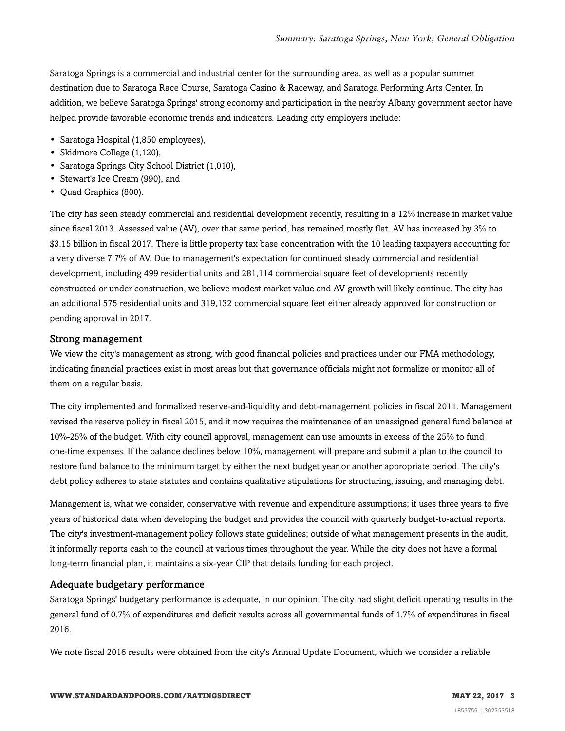Saratoga Springs is a commercial and industrial center for the surrounding area, as well as a popular summer destination due to Saratoga Race Course, Saratoga Casino & Raceway, and Saratoga Performing Arts Center. In addition, we believe Saratoga Springs' strong economy and participation in the nearby Albany government sector have helped provide favorable economic trends and indicators. Leading city employers include:

- Saratoga Hospital (1,850 employees),
- Skidmore College (1,120),
- Saratoga Springs City School District (1,010),
- Stewart's Ice Cream (990), and
- Quad Graphics (800).

The city has seen steady commercial and residential development recently, resulting in a 12% increase in market value since fiscal 2013. Assessed value (AV), over that same period, has remained mostly flat. AV has increased by 3% to \$3.15 billion in fiscal 2017. There is little property tax base concentration with the 10 leading taxpayers accounting for a very diverse 7.7% of AV. Due to management's expectation for continued steady commercial and residential development, including 499 residential units and 281,114 commercial square feet of developments recently constructed or under construction, we believe modest market value and AV growth will likely continue. The city has an additional 575 residential units and 319,132 commercial square feet either already approved for construction or pending approval in 2017.

#### Strong management

We view the city's management as strong, with good financial policies and practices under our FMA methodology, indicating financial practices exist in most areas but that governance officials might not formalize or monitor all of them on a regular basis.

The city implemented and formalized reserve-and-liquidity and debt-management policies in fiscal 2011. Management revised the reserve policy in fiscal 2015, and it now requires the maintenance of an unassigned general fund balance at 10%-25% of the budget. With city council approval, management can use amounts in excess of the 25% to fund one-time expenses. If the balance declines below 10%, management will prepare and submit a plan to the council to restore fund balance to the minimum target by either the next budget year or another appropriate period. The city's debt policy adheres to state statutes and contains qualitative stipulations for structuring, issuing, and managing debt.

Management is, what we consider, conservative with revenue and expenditure assumptions; it uses three years to five years of historical data when developing the budget and provides the council with quarterly budget-to-actual reports. The city's investment-management policy follows state guidelines; outside of what management presents in the audit, it informally reports cash to the council at various times throughout the year. While the city does not have a formal long-term financial plan, it maintains a six-year CIP that details funding for each project.

#### Adequate budgetary performance

Saratoga Springs' budgetary performance is adequate, in our opinion. The city had slight deficit operating results in the general fund of 0.7% of expenditures and deficit results across all governmental funds of 1.7% of expenditures in fiscal 2016.

We note fiscal 2016 results were obtained from the city's Annual Update Document, which we consider a reliable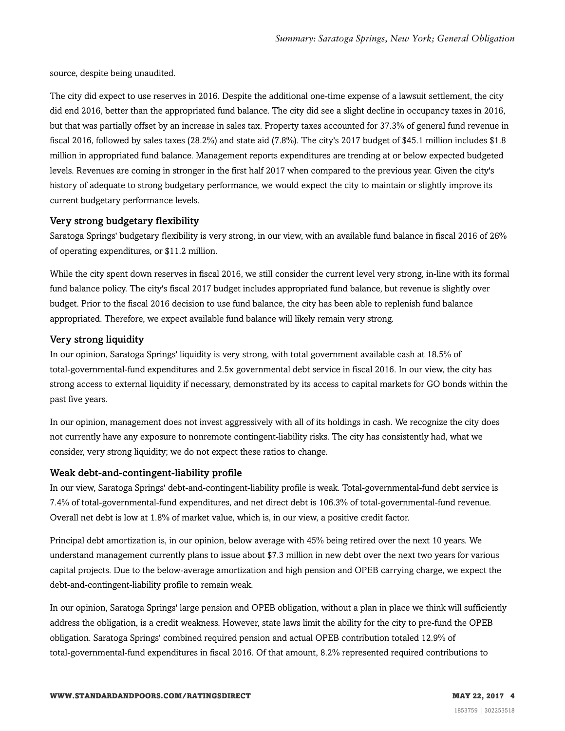source, despite being unaudited.

The city did expect to use reserves in 2016. Despite the additional one-time expense of a lawsuit settlement, the city did end 2016, better than the appropriated fund balance. The city did see a slight decline in occupancy taxes in 2016, but that was partially offset by an increase in sales tax. Property taxes accounted for 37.3% of general fund revenue in fiscal 2016, followed by sales taxes (28.2%) and state aid (7.8%). The city's 2017 budget of \$45.1 million includes \$1.8 million in appropriated fund balance. Management reports expenditures are trending at or below expected budgeted levels. Revenues are coming in stronger in the first half 2017 when compared to the previous year. Given the city's history of adequate to strong budgetary performance, we would expect the city to maintain or slightly improve its current budgetary performance levels.

#### Very strong budgetary flexibility

Saratoga Springs' budgetary flexibility is very strong, in our view, with an available fund balance in fiscal 2016 of 26% of operating expenditures, or \$11.2 million.

While the city spent down reserves in fiscal 2016, we still consider the current level very strong, in-line with its formal fund balance policy. The city's fiscal 2017 budget includes appropriated fund balance, but revenue is slightly over budget. Prior to the fiscal 2016 decision to use fund balance, the city has been able to replenish fund balance appropriated. Therefore, we expect available fund balance will likely remain very strong.

#### Very strong liquidity

In our opinion, Saratoga Springs' liquidity is very strong, with total government available cash at 18.5% of total-governmental-fund expenditures and 2.5x governmental debt service in fiscal 2016. In our view, the city has strong access to external liquidity if necessary, demonstrated by its access to capital markets for GO bonds within the past five years.

In our opinion, management does not invest aggressively with all of its holdings in cash. We recognize the city does not currently have any exposure to nonremote contingent-liability risks. The city has consistently had, what we consider, very strong liquidity; we do not expect these ratios to change.

#### Weak debt-and-contingent-liability profile

In our view, Saratoga Springs' debt-and-contingent-liability profile is weak. Total-governmental-fund debt service is 7.4% of total-governmental-fund expenditures, and net direct debt is 106.3% of total-governmental-fund revenue. Overall net debt is low at 1.8% of market value, which is, in our view, a positive credit factor.

Principal debt amortization is, in our opinion, below average with 45% being retired over the next 10 years. We understand management currently plans to issue about \$7.3 million in new debt over the next two years for various capital projects. Due to the below-average amortization and high pension and OPEB carrying charge, we expect the debt-and-contingent-liability profile to remain weak.

In our opinion, Saratoga Springs' large pension and OPEB obligation, without a plan in place we think will sufficiently address the obligation, is a credit weakness. However, state laws limit the ability for the city to pre-fund the OPEB obligation. Saratoga Springs' combined required pension and actual OPEB contribution totaled 12.9% of total-governmental-fund expenditures in fiscal 2016. Of that amount, 8.2% represented required contributions to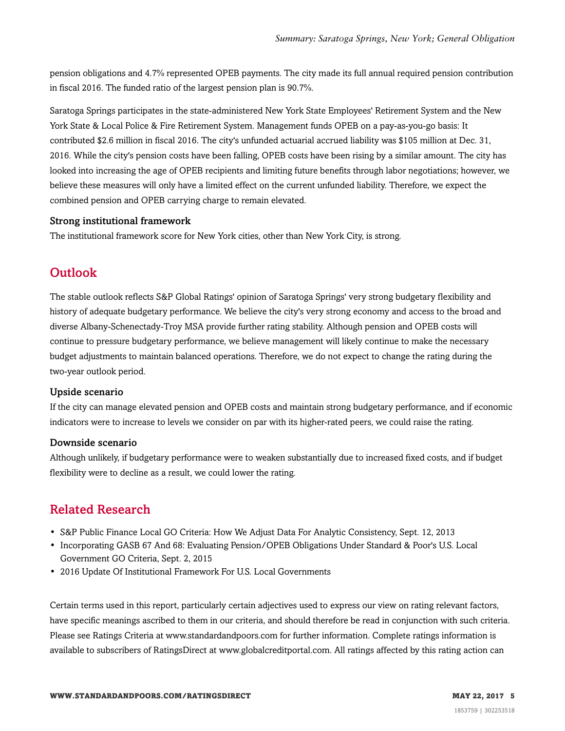pension obligations and 4.7% represented OPEB payments. The city made its full annual required pension contribution in fiscal 2016. The funded ratio of the largest pension plan is 90.7%.

Saratoga Springs participates in the state-administered New York State Employees' Retirement System and the New York State & Local Police & Fire Retirement System. Management funds OPEB on a pay-as-you-go basis: It contributed \$2.6 million in fiscal 2016. The city's unfunded actuarial accrued liability was \$105 million at Dec. 31, 2016. While the city's pension costs have been falling, OPEB costs have been rising by a similar amount. The city has looked into increasing the age of OPEB recipients and limiting future benefits through labor negotiations; however, we believe these measures will only have a limited effect on the current unfunded liability. Therefore, we expect the combined pension and OPEB carrying charge to remain elevated.

#### Strong institutional framework

<span id="page-4-0"></span>The institutional framework score for New York cities, other than New York City, is strong.

### **Outlook**

The stable outlook reflects S&P Global Ratings' opinion of Saratoga Springs' very strong budgetary flexibility and history of adequate budgetary performance. We believe the city's very strong economy and access to the broad and diverse Albany-Schenectady-Troy MSA provide further rating stability. Although pension and OPEB costs will continue to pressure budgetary performance, we believe management will likely continue to make the necessary budget adjustments to maintain balanced operations. Therefore, we do not expect to change the rating during the two-year outlook period.

#### Upside scenario

If the city can manage elevated pension and OPEB costs and maintain strong budgetary performance, and if economic indicators were to increase to levels we consider on par with its higher-rated peers, we could raise the rating.

#### Downside scenario

Although unlikely, if budgetary performance were to weaken substantially due to increased fixed costs, and if budget flexibility were to decline as a result, we could lower the rating.

### <span id="page-4-1"></span>Related Research

- S&P Public Finance Local GO Criteria: How We Adjust Data For Analytic Consistency, Sept. 12, 2013
- Incorporating GASB 67 And 68: Evaluating Pension/OPEB Obligations Under Standard & Poor's U.S. Local Government GO Criteria, Sept. 2, 2015
- 2016 Update Of Institutional Framework For U.S. Local Governments

Certain terms used in this report, particularly certain adjectives used to express our view on rating relevant factors, have specific meanings ascribed to them in our criteria, and should therefore be read in conjunction with such criteria. Please see Ratings Criteria at www.standardandpoors.com for further information. Complete ratings information is available to subscribers of RatingsDirect at www.globalcreditportal.com. All ratings affected by this rating action can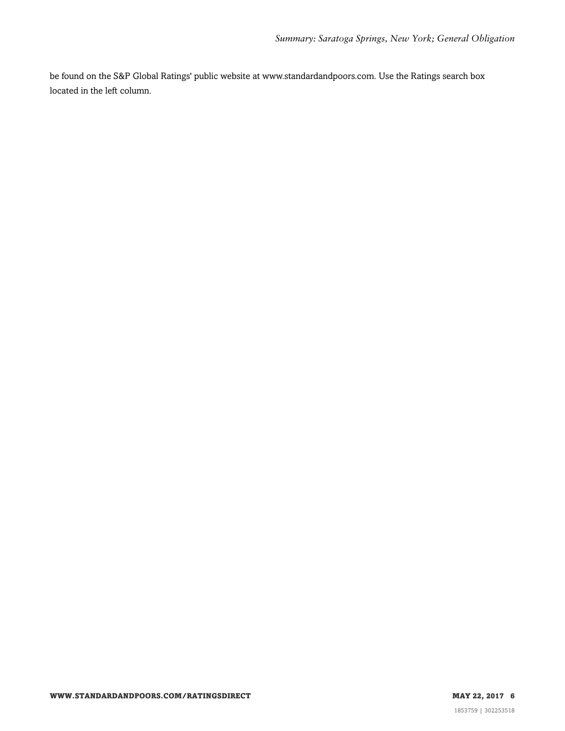be found on the S&P Global Ratings' public website at www.standardandpoors.com. Use the Ratings search box located in the left column.